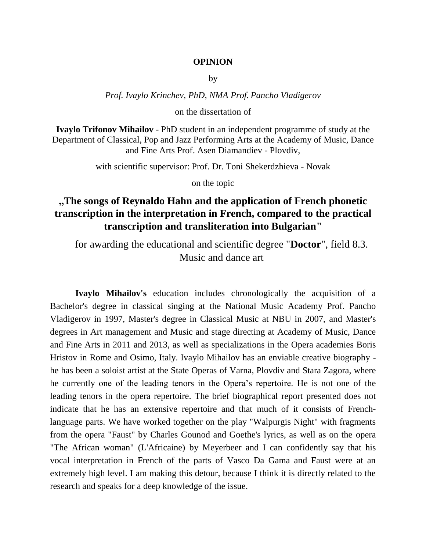## **OPINION**

by

*Prof. Ivaylo Krinchev, PhD, NMA Prof. Pancho Vladigerov*

on the dissertation of

**Ivaylo Trifonov Mihailov -** PhD student in an independent programme of study at the Department of Classical, Pop and Jazz Performing Arts at the Academy of Music, Dance and Fine Arts Prof. Asen Diamandiev - Plovdiv,

with scientific supervisor: Prof. Dr. Toni Shekerdzhieva - Novak

on the topic

## **"The songs of Reynaldo Hahn and the application of French phonetic transcription in the interpretation in French, compared to the practical transcription and transliteration into Bulgarian"**

for awarding the educational and scientific degree "**Doctor**", field 8.3. Music and dance art

**Ivaylo Mihailov's** education includes chronologically the acquisition of a Bachelor's degree in classical singing at the National Music Academy Prof. Pancho Vladigerov in 1997, Master's degree in Classical Music at NBU in 2007, and Master's degrees in Art management and Music and stage directing at Academy of Music, Dance and Fine Arts in 2011 and 2013, as well as specializations in the Opera academies Boris Hristov in Rome and Osimo, Italy. Ivaylo Mihailov has an enviable creative biography he has been a soloist artist at the State Operas of Varna, Plovdiv and Stara Zagora, where he currently one of the leading tenors in the Opera's repertoire. He is not one of the leading tenors in the opera repertoire. The brief biographical report presented does not indicate that he has an extensive repertoire and that much of it consists of Frenchlanguage parts. We have worked together on the play "Walpurgis Night" with fragments from the opera "Faust" by Charles Gounod and Goethe's lyrics, as well as on the opera "The African woman" (L'Africaine) by Meyerbeer and I can confidently say that his vocal interpretation in French of the parts of Vasco Da Gama and Faust were at an extremely high level. I am making this detour, because I think it is directly related to the research and speaks for a deep knowledge of the issue.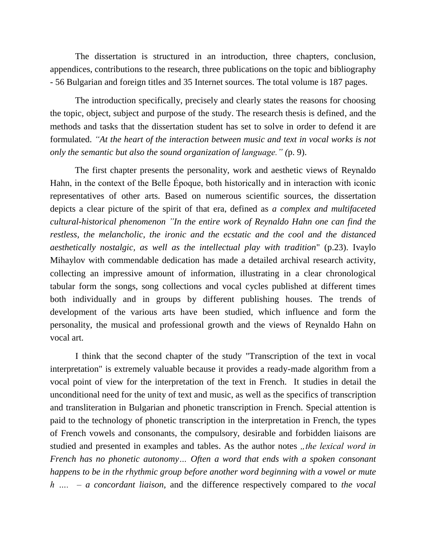The dissertation is structured in an introduction, three chapters, conclusion, appendices, contributions to the research, three publications on the topic and bibliography - 56 Bulgarian and foreign titles and 35 Internet sources. The total volume is 187 pages.

The introduction specifically, precisely and clearly states the reasons for choosing the topic, object, subject and purpose of the study. The research thesis is defined, and the methods and tasks that the dissertation student has set to solve in order to defend it are formulated. *"At the heart of the interaction between music and text in vocal works is not only the semantic but also the sound organization of language." (*p. 9).

The first chapter presents the personality, work and aesthetic views of Reynaldo Hahn, in the context of the Belle Époque, both historically and in interaction with iconic representatives of other arts. Based on numerous scientific sources, the dissertation depicts a clear picture of the spirit of that era, defined as *a complex and multifaceted cultural-historical phenomenon "In the entire work of Reynaldo Hahn one can find the restless, the melancholic, the ironic and the ecstatic and the cool and the distanced aesthetically nostalgic, as well as the intellectual play with tradition*" (p.23). Ivaylo Mihaylov with commendable dedication has made a detailed archival research activity, collecting an impressive amount of information, illustrating in a clear chronological tabular form the songs, song collections and vocal cycles published at different times both individually and in groups by different publishing houses. The trends of development of the various arts have been studied, which influence and form the personality, the musical and professional growth and the views of Reynaldo Hahn on vocal art.

I think that the second chapter of the study "Transcription of the text in vocal interpretation" is extremely valuable because it provides a ready-made algorithm from a vocal point of view for the interpretation of the text in French. It studies in detail the unconditional need for the unity of text and music, as well as the specifics of transcription and transliteration in Bulgarian and phonetic transcription in French. Special attention is paid to the technology of phonetic transcription in the interpretation in French, the types of French vowels and consonants, the compulsory, desirable and forbidden liaisons are studied and presented in examples and tables. As the author notes *"the lexical word in French has no phonetic autonomy… Often a word that ends with a spoken consonant happens to be in the rhythmic group before another word beginning with a vowel or mute h …. – a concordant liaison,* and the difference respectively compared to *the vocal*